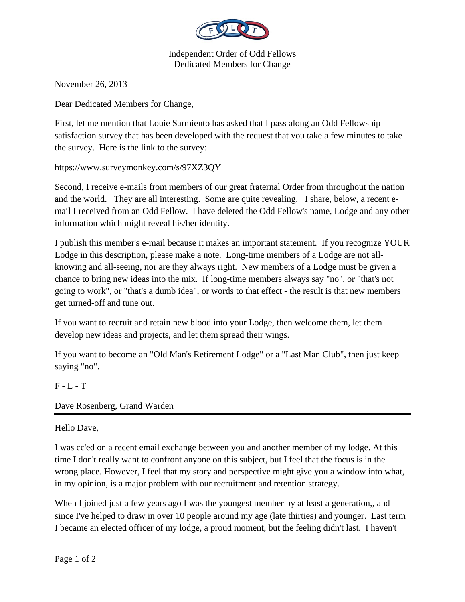

Independent Order of Odd Fellows Dedicated Members for Change

November 26, 2013

Dear Dedicated Members for Change,

First, let me mention that Louie Sarmiento has asked that I pass along an Odd Fellowship satisfaction survey that has been developed with the request that you take a few minutes to take the survey. Here is the link to the survey:

https://www.surveymonkey.com/s/97XZ3QY

Second, I receive e-mails from members of our great fraternal Order from throughout the nation and the world. They are all interesting. Some are quite revealing. I share, below, a recent email I received from an Odd Fellow. I have deleted the Odd Fellow's name, Lodge and any other information which might reveal his/her identity.

I publish this member's e-mail because it makes an important statement. If you recognize YOUR Lodge in this description, please make a note. Long-time members of a Lodge are not allknowing and all-seeing, nor are they always right. New members of a Lodge must be given a chance to bring new ideas into the mix. If long-time members always say "no", or "that's not going to work", or "that's a dumb idea", or words to that effect - the result is that new members get turned-off and tune out.

If you want to recruit and retain new blood into your Lodge, then welcome them, let them develop new ideas and projects, and let them spread their wings.

If you want to become an "Old Man's Retirement Lodge" or a "Last Man Club", then just keep saying "no".

## F - L - T

Dave Rosenberg, Grand Warden

## Hello Dave,

I was cc'ed on a recent email exchange between you and another member of my lodge. At this time I don't really want to confront anyone on this subject, but I feel that the focus is in the wrong place. However, I feel that my story and perspective might give you a window into what, in my opinion, is a major problem with our recruitment and retention strategy.

When I joined just a few years ago I was the youngest member by at least a generation,, and since I've helped to draw in over 10 people around my age (late thirties) and younger. Last term I became an elected officer of my lodge, a proud moment, but the feeling didn't last. I haven't